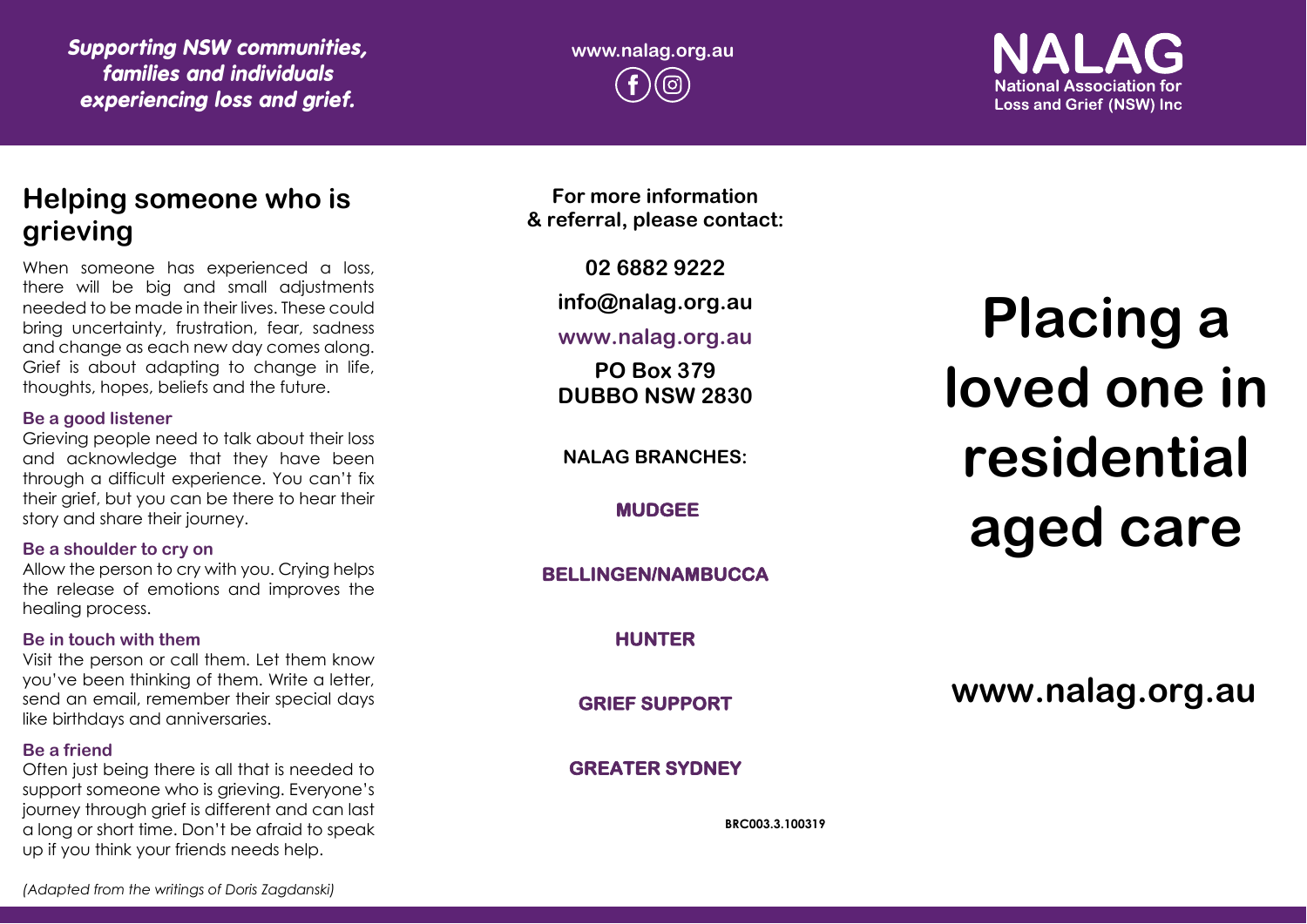*Supporting NSW communities, families and individuals experiencing loss and grief.*

**www.nalag.org.au**

**National Association for Loss and Grief (NSW) Inc** 

# **Helping someone who is grieving**

When someone has experienced a loss, there will be big and small adjustments needed to be made in their lives. These could bring uncertainty, frustration, fear, sadness and change as each new day comes along. Grief is about adapting to change in life, thoughts, hopes, beliefs and the future.

### **Be a good listener**

Grieving people need to talk about their loss and acknowledge that they have been through a difficult experience. You can't fix their grief, but you can be there to hear their story and share their journey.

## **Be a shoulder to cry on**

Allow the person to cry with you. Crying helps the release of emotions and improves the healing process.

## **Be in touch with them**

Visit the person or call them. Let them know you've been thinking of them. Write a letter, send an email, remember their special days like birthdays and anniversaries.

# **Be a friend**

Often just being there is all that is needed to support someone who is grieving. Everyone's journey through grief is different and can last a long or short time. Don't be afraid to speak up if you think your friends needs help.

**For more information & referral, please contact:**

**02 6882 9222**

**info@nalag.org.au**

# **www.nalag.org.au**

**PO Box 379 DUBBO NSW 2830**

**NALAG BRANCHES:**

**MUDGEE** 

**BELLINGEN/NAMBUCCA** 

**HUNTER** 

**GRIEF SUPPORT** 

# **GREATER SYDNEY**

**BRC003.3.100319**

# **Placing a loved one in residential aged care**

**www.nalag.org.au**

*(Adapted from the writings of Doris Zagdanski)*